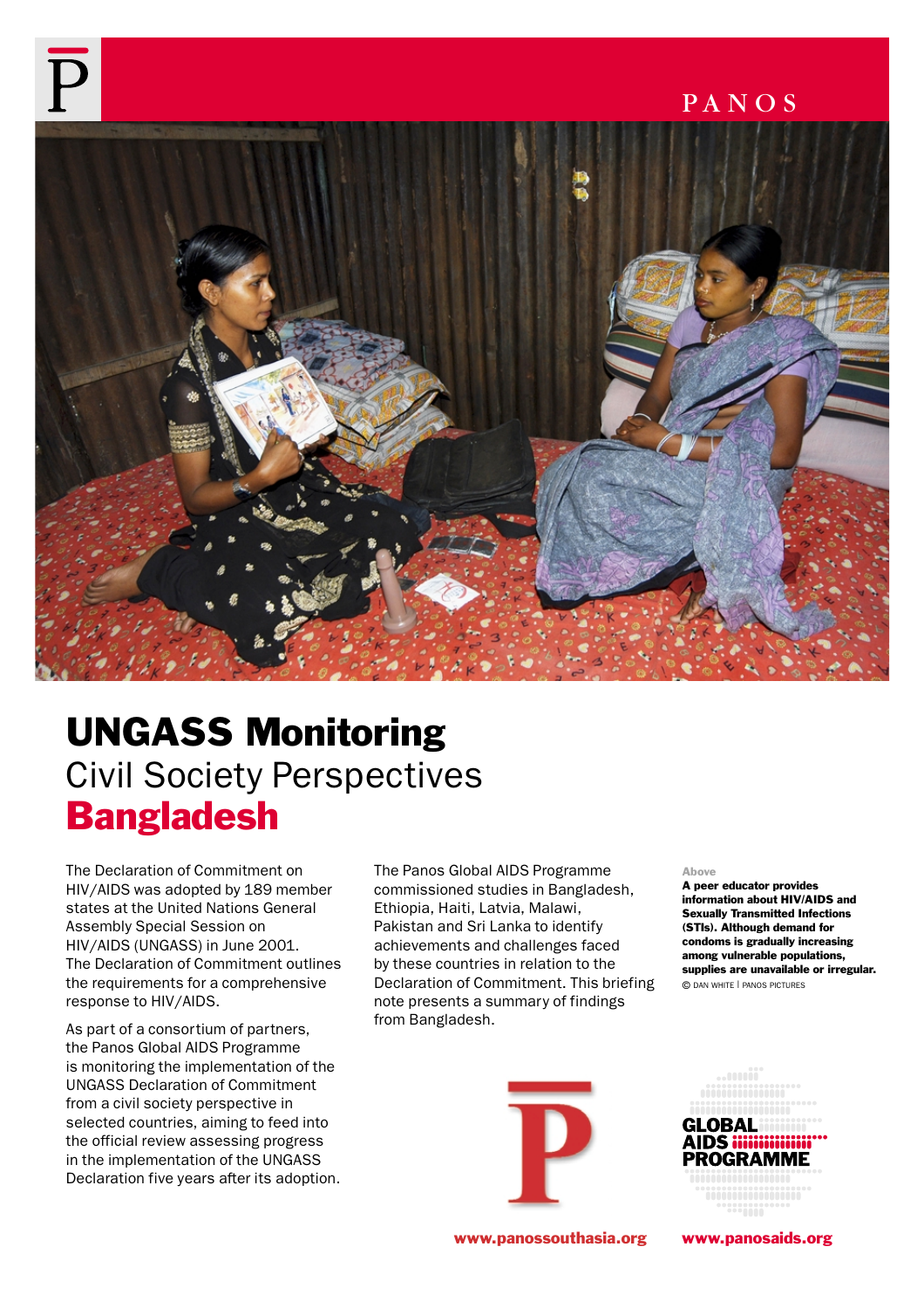## PANOS



# UNGASS Monitoring Civil Society Perspectives **Bangladesh**

The Declaration of Commitment on HIV/AIDS was adopted by 189 member states at the United Nations General Assembly Special Session on HIV/AIDS (UNGASS) in June 2001. The Declaration of Commitment outlines the requirements for a comprehensive response to HIV/AIDS.

As part of a consortium of partners, the Panos Global AIDS Programme is monitoring the implementation of the UNGASS Declaration of Commitment from a civil society perspective in selected countries, aiming to feed into the official review assessing progress in the implementation of the UNGASS Declaration five years after its adoption. The Panos Global AIDS Programme commissioned studies in Bangladesh, Ethiopia, Haiti, Latvia, Malawi, Pakistan and Sri Lanka to identify achievements and challenges faced by these countries in relation to the Declaration of Commitment. This briefing note presents a summary of findings from Bangladesh.



A peer educator provides information about HIV/AIDS and Sexually Transmitted Infections (STIs). Although demand for condoms is gradually increasing among vulnerable populations, supplies are unavailable or irregular. © DAN WHITE | PANOS PICTURES





www.panossouthasia.org www.panosaids.org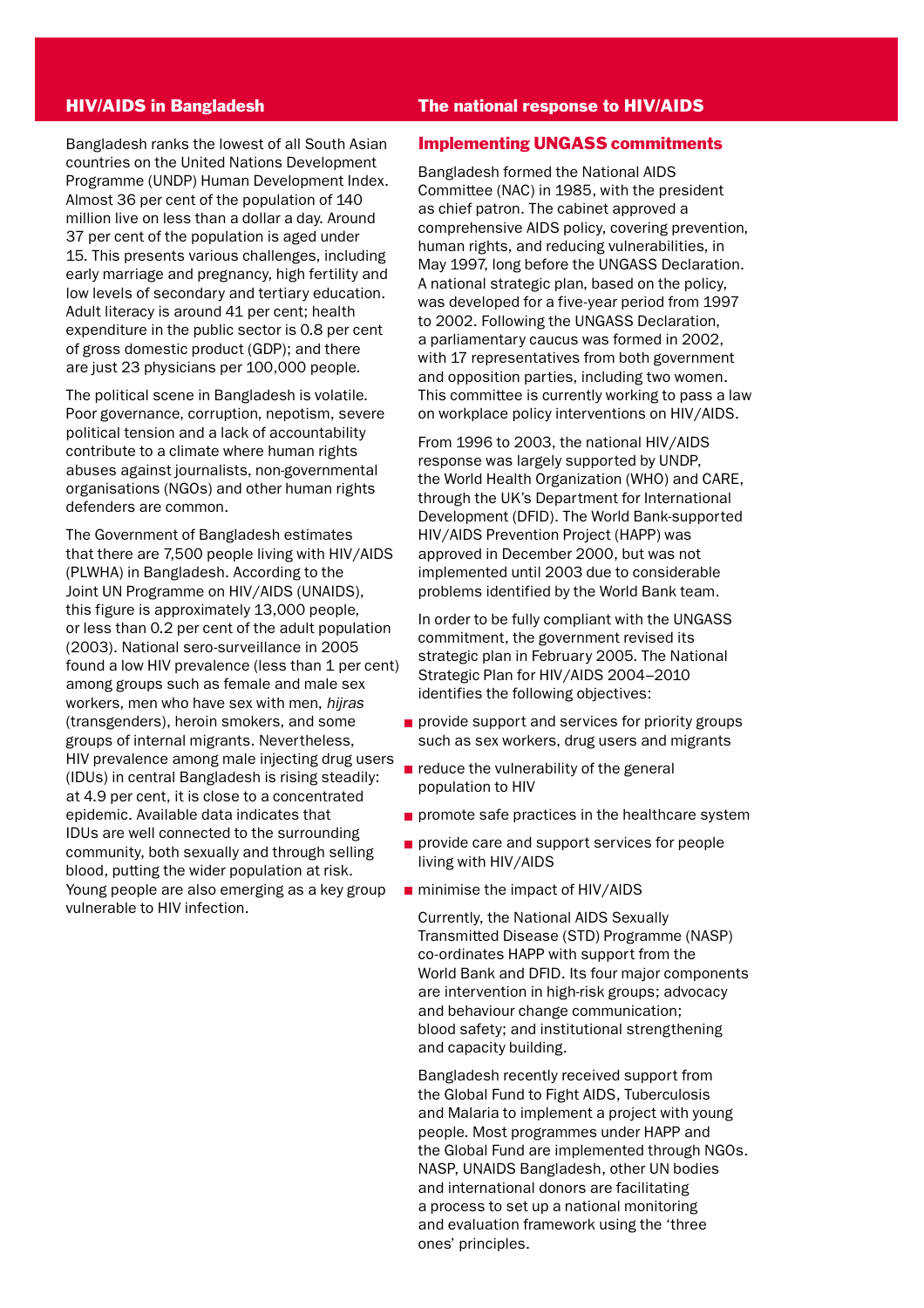#### HIV/AIDS in Bangladesh

Bangladesh ranks the lowest of all South Asian countries on the United Nations Development Programme (UNDP) Human Development Index. Almost 36 per cent of the population of 140 million live on less than a dollar a day. Around 37 per cent of the population is aged under 15. This presents various challenges, including early marriage and pregnancy, high fertility and low levels of secondary and tertiary education. Adult literacy is around 41 per cent; health expenditure in the public sector is 0.8 per cent of gross domestic product (GDP); and there are just 23 physicians per 100,000 people.

The political scene in Bangladesh is volatile. Poor governance, corruption, nepotism, severe political tension and a lack of accountability contribute to a climate where human rights abuses against journalists, non-governmental organisations (NGOs) and other human rights defenders are common.

The Government of Bangladesh estimates that there are 7,500 people living with HIV/AIDS (PLWHA) in Bangladesh. According to the Joint UN Programme on HIV/AIDS (UNAIDS), this figure is approximately 13,000 people, or less than 0.2 per cent of the adult population (2003). National sero-surveillance in 2005 found a low HIV prevalence (less than 1 per cent) among groups such as female and male sex workers, men who have sex with men, *hijras* (transgenders), heroin smokers, and some groups of internal migrants. Nevertheless, HIV prevalence among male injecting drug users (IDUs) in central Bangladesh is rising steadily: at 4.9 per cent, it is close to a concentrated epidemic. Available data indicates that IDUs are well connected to the surrounding community, both sexually and through selling blood, putting the wider population at risk. Young people are also emerging as a key group vulnerable to HIV infection.

#### The national response to HIV/AIDS

#### Implementing UNGASS commitments

Bangladesh formed the National AIDS Committee (NAC) in 1985, with the president as chief patron. The cabinet approved a comprehensive AIDS policy, covering prevention, human rights, and reducing vulnerabilities, in May 1997, long before the UNGASS Declaration. A national strategic plan, based on the policy, was developed for a five-year period from 1997 to 2002. Following the UNGASS Declaration, a parliamentary caucus was formed in 2002, with 17 representatives from both government and opposition parties, including two women. This committee is currently working to pass a law on workplace policy interventions on HIV/AIDS.

From 1996 to 2003, the national HIV/AIDS response was largely supported by UNDP, the World Health Organization (WHO) and CARE, through the UK's Department for International Development (DFID). The World Bank-supported HIV/AIDS Prevention Project (HAPP) was approved in December 2000, but was not implemented until 2003 due to considerable problems identified by the World Bank team.

In order to be fully compliant with the UNGASS commitment, the government revised its strategic plan in February 2005. The National Strategic Plan for HIV/AIDS 2004–2010 identifies the following objectives:

- provide support and services for priority groups such as sex workers, drug users and migrants
- $\blacksquare$  reduce the vulnerability of the general population to HIV
- $\blacksquare$  promote safe practices in the healthcare system
- provide care and support services for people living with HIV/AIDS
- minimise the impact of HIV/AIDS

Currently, the National AIDS Sexually Transmitted Disease (STD) Programme (NASP) co-ordinates HAPP with support from the World Bank and DFID. Its four major components are intervention in high-risk groups; advocacy and behaviour change communication; blood safety; and institutional strengthening and capacity building.

Bangladesh recently received support from the Global Fund to Fight AIDS, Tuberculosis and Malaria to implement a project with young people. Most programmes under HAPP and the Global Fund are implemented through NGOs. NASP, UNAIDS Bangladesh, other UN bodies and international donors are facilitating a process to set up a national monitoring and evaluation framework using the 'three ones' principles.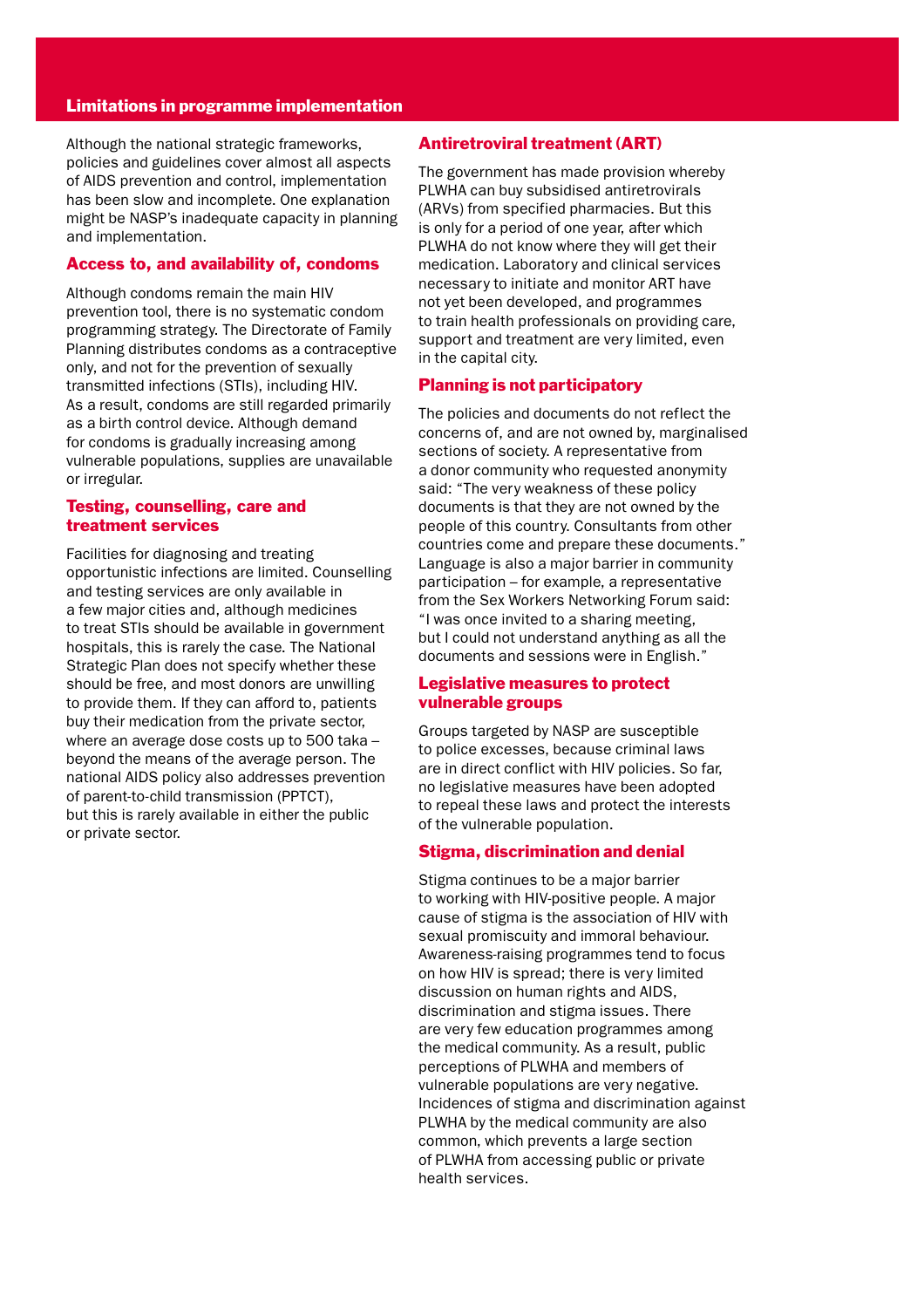#### Limitations in programme implementation

Although the national strategic frameworks, policies and guidelines cover almost all aspects of AIDS prevention and control, implementation has been slow and incomplete. One explanation might be NASP's inadequate capacity in planning and implementation.

#### Access to, and availability of, condoms

Although condoms remain the main HIV prevention tool, there is no systematic condom programming strategy. The Directorate of Family Planning distributes condoms as a contraceptive only, and not for the prevention of sexually transmitted infections (STIs), including HIV. As a result, condoms are still regarded primarily as a birth control device. Although demand for condoms is gradually increasing among vulnerable populations, supplies are unavailable or irregular.

#### Testing, counselling, care and treatment services

Facilities for diagnosing and treating opportunistic infections are limited. Counselling and testing services are only available in a few major cities and, although medicines to treat STIs should be available in government hospitals, this is rarely the case. The National Strategic Plan does not specify whether these should be free, and most donors are unwilling to provide them. If they can afford to, patients buy their medication from the private sector, where an average dose costs up to 500 taka – beyond the means of the average person. The national AIDS policy also addresses prevention of parent-to-child transmission (PPTCT), but this is rarely available in either the public or private sector.

#### Antiretroviral treatment (ART)

The government has made provision whereby PLWHA can buy subsidised antiretrovirals (ARVs) from specified pharmacies. But this is only for a period of one year, after which PLWHA do not know where they will get their medication. Laboratory and clinical services necessary to initiate and monitor ART have not yet been developed, and programmes to train health professionals on providing care, support and treatment are very limited, even in the capital city.

#### Planning is not participatory

The policies and documents do not reflect the concerns of, and are not owned by, marginalised sections of society. A representative from a donor community who requested anonymity said: "The very weakness of these policy documents is that they are not owned by the people of this country. Consultants from other countries come and prepare these documents." Language is also a major barrier in community participation – for example, a representative from the Sex Workers Networking Forum said: "I was once invited to a sharing meeting, but I could not understand anything as all the documents and sessions were in English."

#### Legislative measures to protect vulnerable groups

Groups targeted by NASP are susceptible to police excesses, because criminal laws are in direct conflict with HIV policies. So far, no legislative measures have been adopted to repeal these laws and protect the interests of the vulnerable population.

#### Stigma, discrimination and denial

Stigma continues to be a major barrier to working with HIV-positive people. A major cause of stigma is the association of HIV with sexual promiscuity and immoral behaviour. Awareness-raising programmes tend to focus on how HIV is spread; there is very limited discussion on human rights and AIDS, discrimination and stigma issues. There are very few education programmes among the medical community. As a result, public perceptions of PLWHA and members of vulnerable populations are very negative. Incidences of stigma and discrimination against PLWHA by the medical community are also common, which prevents a large section of PLWHA from accessing public or private health services.